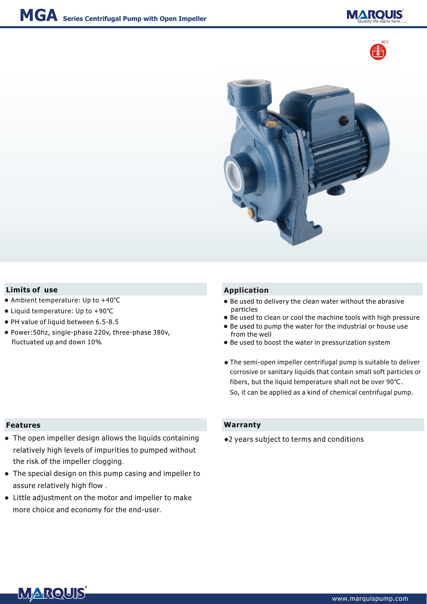





## **Limits of** use **Application**

- Ambient temperature: Up to +40℃
- Liquid temperature: Up to +90℃
- PH value of liquid between 6.5-8.5
- Power:50hz, single-phase 220v, three-phase 380v, fluctuated up and down 10%

- Be used to delivery the clean water without the abrasive particles
- Be used to clean or cool the machine tools with high pressure
- Be used to pump the water for the industrial or house use from the well
- Be used to boost the water in pressurization system
- The semi-open impeller centrifugal pump is suitable to deliver ●corrosive or sanitary liquids that contain small soft particles or fibers, but the liquid temperature shall not be over 90℃. So, it can be applied as a kind of chemical centrifugal pump.

### **Features**

- The open impeller design allows the liquids containing relatively high levels of impurities to pumped without the risk of the impeller clogging.
- The special design on this pump casing and impeller to assure relatively high flow .
- Little adjustment on the motor and impeller to make more choice and economy for the end-user.

### **Warranty**

●2 years subject to terms and conditions

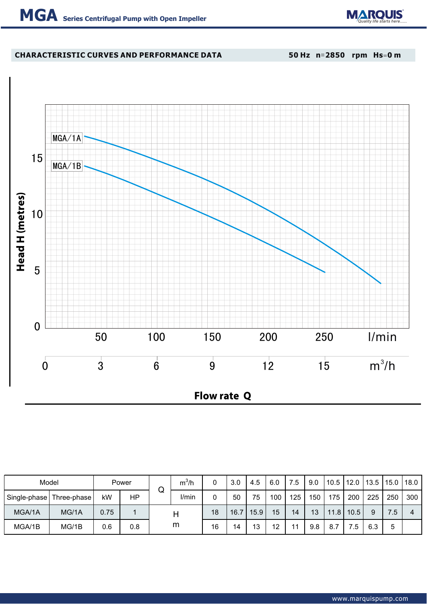

# **CHARACTERISTIC CURVES AND PERFORMANCE DATA**

**50 Hz n**=**2850 rpm Hs**=**0 m**



| Model        |             | Power |     | ⌒ | $m^3/h$ |    | 3.0  | 4.5  | 6.0 | 7.5 | 9.0 | 10.5              | 12.0 | 13.5 | $15.0$ 18.0 |     |
|--------------|-------------|-------|-----|---|---------|----|------|------|-----|-----|-----|-------------------|------|------|-------------|-----|
| Single-phase | Three-phase | kW    | ΗP  | V | I/min   |    | 50   | 75   | 100 | 125 | 150 | 175               | 200  | 225  | 250         | 300 |
| MGA/1A       | MG/1A       | 0.75  |     |   |         | 18 | 16.7 | 15.9 | 15  | 14  | 13  | 11.8 <sub>1</sub> | 10.5 | 9    | 7.5         |     |
| MGA/1B       | MG/1B       | 0.6   | 0.8 | m |         | 16 | 14   | 13   | 12  | 11  | 9.8 |                   | .5   | 6.3  | 5           |     |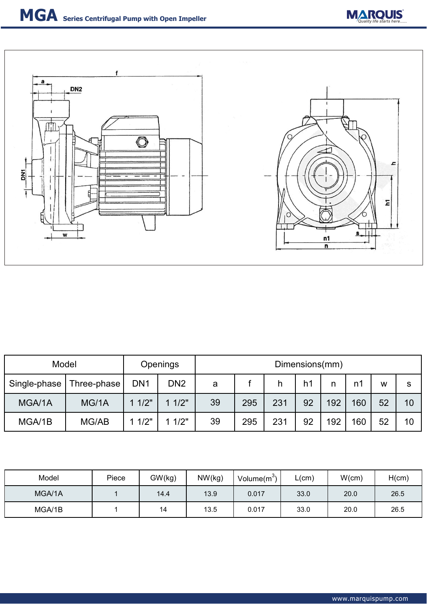



| Model        | Openings    |                 | Dimensions(mm)  |    |     |     |                |     |     |    |          |
|--------------|-------------|-----------------|-----------------|----|-----|-----|----------------|-----|-----|----|----------|
| Single-phase | Three-phase | DN <sub>1</sub> | DN <sub>2</sub> | a  |     |     | h <sub>1</sub> | n   | n1  | W  | <b>S</b> |
| MGA/1A       | MG/1A       | 11/2"           | 11/2"           | 39 | 295 | 231 | 92             | 192 | 160 | 52 | 10       |
| MGA/1B       | MG/AB       | 11/2"           | 11/2"           | 39 | 295 | 231 | 92             | 192 | 160 | 52 | 10       |

| Model  | Piece | GW(kg)<br>NW(kg) |      | Volume $(m^3)$ | L(cm) | W(cm) | H(cm) |  |
|--------|-------|------------------|------|----------------|-------|-------|-------|--|
| MGA/1A |       | 14.4             | 13.9 | 0.017          | 33.0  | 20.0  | 26.5  |  |
| MGA/1B |       | 14               | 13.5 | 0.017          | 33.0  | 20.0  | 26.5  |  |